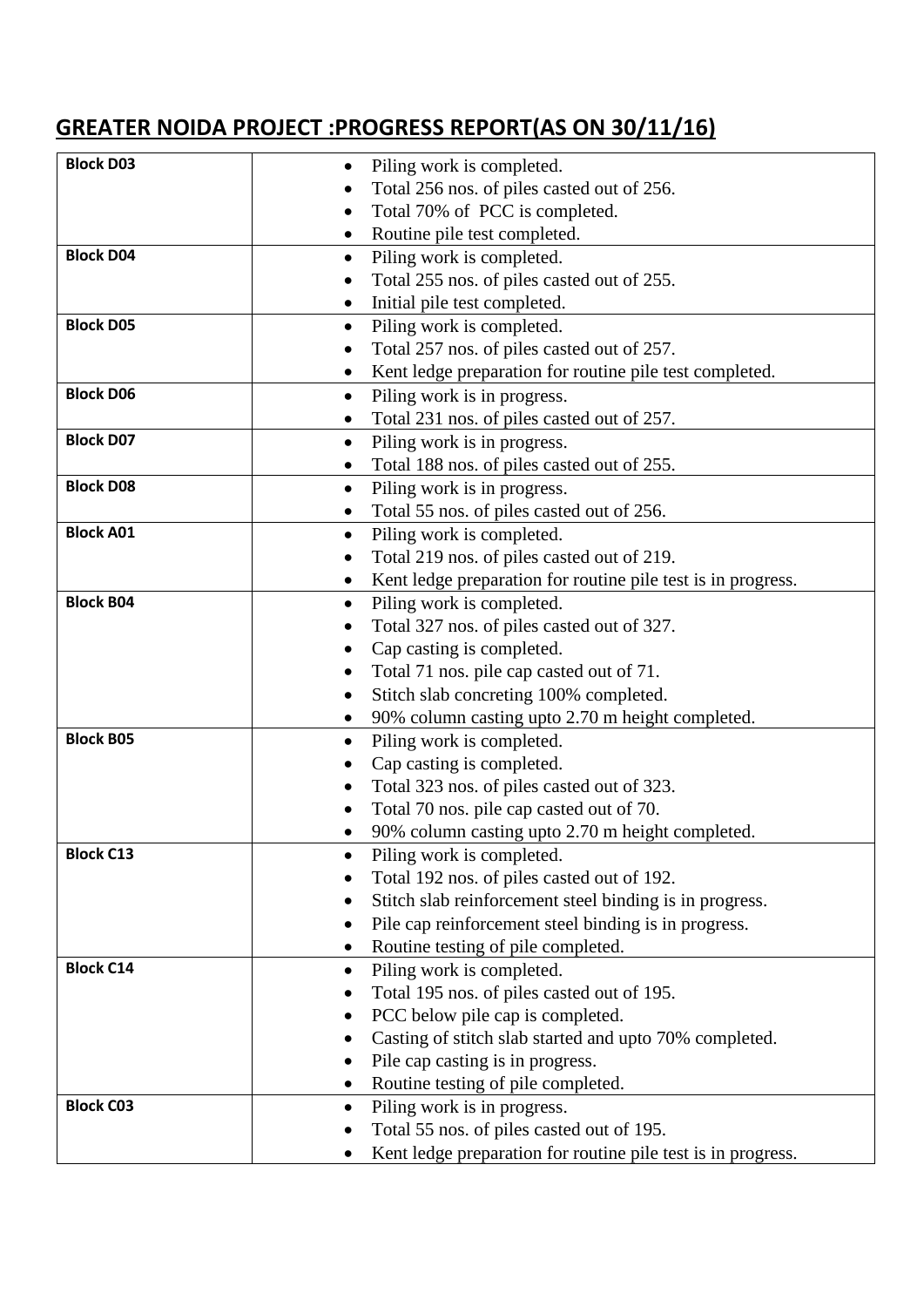## **GREATER NOIDA PROJECT :PROGRESS REPORT(AS ON 30/11/16)**

| <b>Block D03</b> | Piling work is completed.                                       |
|------------------|-----------------------------------------------------------------|
|                  | Total 256 nos. of piles casted out of 256.                      |
|                  | Total 70% of PCC is completed.                                  |
|                  | Routine pile test completed.                                    |
| <b>Block D04</b> | Piling work is completed.<br>$\bullet$                          |
|                  | Total 255 nos. of piles casted out of 255.                      |
|                  | Initial pile test completed.                                    |
| <b>Block D05</b> | Piling work is completed.<br>$\bullet$                          |
|                  | Total 257 nos. of piles casted out of 257.                      |
|                  | Kent ledge preparation for routine pile test completed.         |
| <b>Block D06</b> | Piling work is in progress.<br>$\bullet$                        |
|                  | Total 231 nos. of piles casted out of 257.                      |
| <b>Block D07</b> | Piling work is in progress.                                     |
|                  | Total 188 nos. of piles casted out of 255.<br>$\bullet$         |
| <b>Block D08</b> | Piling work is in progress.<br>$\bullet$                        |
|                  | Total 55 nos. of piles casted out of 256.                       |
| <b>Block A01</b> | Piling work is completed.<br>$\bullet$                          |
|                  | Total 219 nos. of piles casted out of 219.                      |
|                  | Kent ledge preparation for routine pile test is in progress.    |
| <b>Block B04</b> | Piling work is completed.                                       |
|                  | Total 327 nos. of piles casted out of 327.                      |
|                  | Cap casting is completed.                                       |
|                  | Total 71 nos. pile cap casted out of 71.                        |
|                  | Stitch slab concreting 100% completed.                          |
|                  | 90% column casting upto 2.70 m height completed.                |
| <b>Block B05</b> | Piling work is completed.                                       |
|                  | Cap casting is completed.                                       |
|                  | Total 323 nos. of piles casted out of 323.                      |
|                  | Total 70 nos. pile cap casted out of 70.                        |
|                  | 90% column casting upto 2.70 m height completed.                |
| <b>Block C13</b> | Piling work is completed.                                       |
|                  | Total 192 nos. of piles casted out of 192.                      |
|                  | Stitch slab reinforcement steel binding is in progress.         |
|                  | Pile cap reinforcement steel binding is in progress.            |
| <b>Block C14</b> | Routine testing of pile completed.<br>Piling work is completed. |
|                  | $\bullet$<br>Total 195 nos. of piles casted out of 195.         |
|                  | PCC below pile cap is completed.                                |
|                  | Casting of stitch slab started and upto 70% completed.          |
|                  | Pile cap casting is in progress.                                |
|                  | Routine testing of pile completed.<br>$\bullet$                 |
| <b>Block C03</b> | Piling work is in progress.<br>$\bullet$                        |
|                  | Total 55 nos. of piles casted out of 195.                       |
|                  | Kent ledge preparation for routine pile test is in progress.    |
|                  |                                                                 |